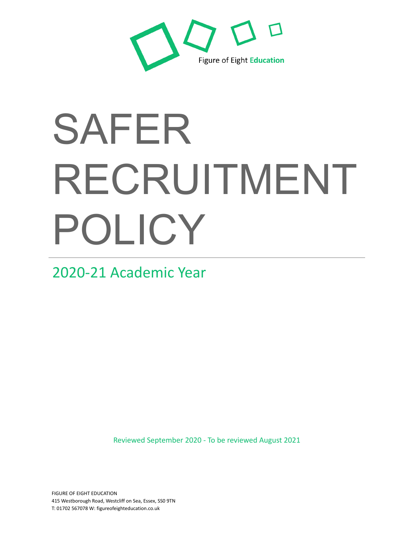

2020-21 Academic Year

Reviewed September 2020 - To be reviewed August 2021

FIGURE OF EIGHT EDUCATION 415 Westborough Road, Westcliff on Sea, Essex, SS0 9TN T: 01702 567078 W: figureofeighteducation.co.uk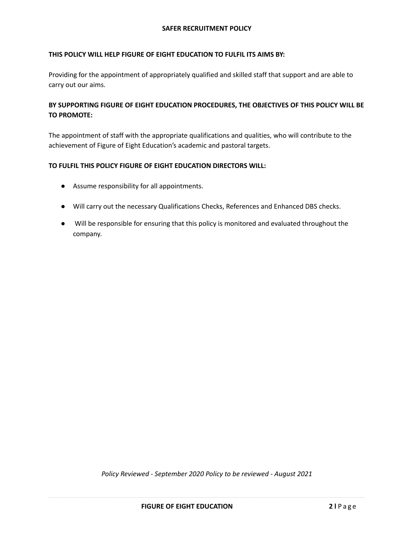# **THIS POLICY WILL HELP FIGURE OF EIGHT EDUCATION TO FULFIL ITS AIMS BY:**

Providing for the appointment of appropriately qualified and skilled staff that support and are able to carry out our aims.

# **BY SUPPORTING FIGURE OF EIGHT EDUCATION PROCEDURES, THE OBJECTIVES OF THIS POLICY WILL BE TO PROMOTE:**

The appointment of staff with the appropriate qualifications and qualities, who will contribute to the achievement of Figure of Eight Education's academic and pastoral targets.

# **TO FULFIL THIS POLICY FIGURE OF EIGHT EDUCATION DIRECTORS WILL:**

- Assume responsibility for all appointments.
- Will carry out the necessary Qualifications Checks, References and Enhanced DBS checks.
- Will be responsible for ensuring that this policy is monitored and evaluated throughout the company.

*Policy Reviewed - September 2020 Policy to be reviewed - August 2021*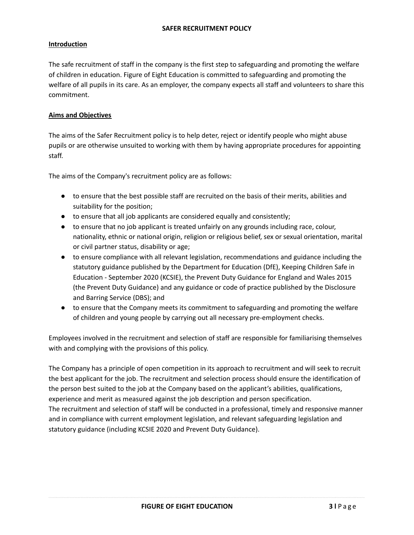# **Introduction**

The safe recruitment of staff in the company is the first step to safeguarding and promoting the welfare of children in education. Figure of Eight Education is committed to safeguarding and promoting the welfare of all pupils in its care. As an employer, the company expects all staff and volunteers to share this commitment.

# **Aims and Objectives**

The aims of the Safer Recruitment policy is to help deter, reject or identify people who might abuse pupils or are otherwise unsuited to working with them by having appropriate procedures for appointing staff.

The aims of the Company's recruitment policy are as follows:

- to ensure that the best possible staff are recruited on the basis of their merits, abilities and suitability for the position;
- to ensure that all job applicants are considered equally and consistently;
- to ensure that no job applicant is treated unfairly on any grounds including race, colour, nationality, ethnic or national origin, religion or religious belief, sex or sexual orientation, marital or civil partner status, disability or age;
- to ensure compliance with all relevant legislation, recommendations and guidance including the statutory guidance published by the Department for Education (DfE), Keeping Children Safe in Education - September 2020 (KCSIE), the Prevent Duty Guidance for England and Wales 2015 (the Prevent Duty Guidance) and any guidance or code of practice published by the Disclosure and Barring Service (DBS); and
- to ensure that the Company meets its commitment to safeguarding and promoting the welfare of children and young people by carrying out all necessary pre-employment checks.

Employees involved in the recruitment and selection of staff are responsible for familiarising themselves with and complying with the provisions of this policy.

The Company has a principle of open competition in its approach to recruitment and will seek to recruit the best applicant for the job. The recruitment and selection process should ensure the identification of the person best suited to the job at the Company based on the applicant's abilities, qualifications, experience and merit as measured against the job description and person specification. The recruitment and selection of staff will be conducted in a professional, timely and responsive manner and in compliance with current employment legislation, and relevant safeguarding legislation and statutory guidance (including KCSIE 2020 and Prevent Duty Guidance).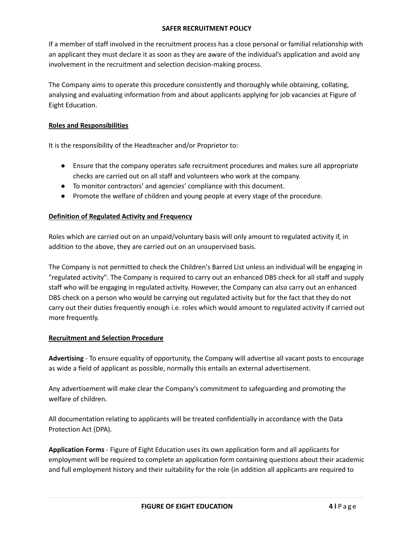If a member of staff involved in the recruitment process has a close personal or familial relationship with an applicant they must declare it as soon as they are aware of the individual's application and avoid any involvement in the recruitment and selection decision-making process.

The Company aims to operate this procedure consistently and thoroughly while obtaining, collating, analysing and evaluating information from and about applicants applying for job vacancies at Figure of Eight Education.

# **Roles and Responsibilities**

It is the responsibility of the Headteacher and/or Proprietor to:

- Ensure that the company operates safe recruitment procedures and makes sure all appropriate checks are carried out on all staff and volunteers who work at the company.
- To monitor contractors' and agencies' compliance with this document.
- Promote the welfare of children and young people at every stage of the procedure.

# **Definition of Regulated Activity and Frequency**

Roles which are carried out on an unpaid/voluntary basis will only amount to regulated activity if, in addition to the above, they are carried out on an unsupervised basis.

The Company is not permitted to check the Children's Barred List unless an individual will be engaging in "regulated activity". The Company is required to carry out an enhanced DBS check for all staff and supply staff who will be engaging in regulated activity. However, the Company can also carry out an enhanced DBS check on a person who would be carrying out regulated activity but for the fact that they do not carry out their duties frequently enough i.e. roles which would amount to regulated activity if carried out more frequently.

# **Recruitment and Selection Procedure**

**Advertising** - To ensure equality of opportunity, the Company will advertise all vacant posts to encourage as wide a field of applicant as possible, normally this entails an external advertisement.

Any advertisement will make clear the Company's commitment to safeguarding and promoting the welfare of children.

All documentation relating to applicants will be treated confidentially in accordance with the Data Protection Act (DPA).

**Application Forms** - Figure of Eight Education uses its own application form and all applicants for employment will be required to complete an application form containing questions about their academic and full employment history and their suitability for the role (in addition all applicants are required to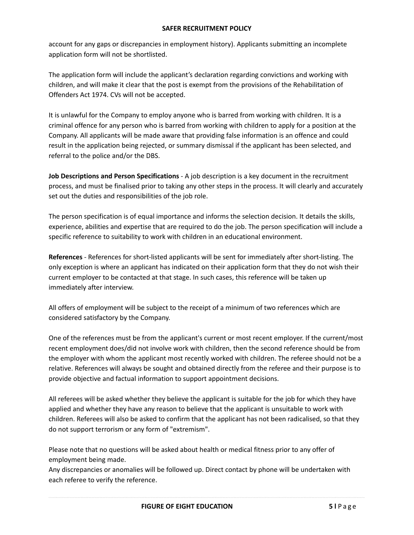account for any gaps or discrepancies in employment history). Applicants submitting an incomplete application form will not be shortlisted.

The application form will include the applicant's declaration regarding convictions and working with children, and will make it clear that the post is exempt from the provisions of the Rehabilitation of Offenders Act 1974. CVs will not be accepted.

It is unlawful for the Company to employ anyone who is barred from working with children. It is a criminal offence for any person who is barred from working with children to apply for a position at the Company. All applicants will be made aware that providing false information is an offence and could result in the application being rejected, or summary dismissal if the applicant has been selected, and referral to the police and/or the DBS.

**Job Descriptions and Person Specifications** - A job description is a key document in the recruitment process, and must be finalised prior to taking any other steps in the process. It will clearly and accurately set out the duties and responsibilities of the job role.

The person specification is of equal importance and informs the selection decision. It details the skills, experience, abilities and expertise that are required to do the job. The person specification will include a specific reference to suitability to work with children in an educational environment.

**References** - References for short-listed applicants will be sent for immediately after short-listing. The only exception is where an applicant has indicated on their application form that they do not wish their current employer to be contacted at that stage. In such cases, this reference will be taken up immediately after interview.

All offers of employment will be subject to the receipt of a minimum of two references which are considered satisfactory by the Company.

One of the references must be from the applicant's current or most recent employer. If the current/most recent employment does/did not involve work with children, then the second reference should be from the employer with whom the applicant most recently worked with children. The referee should not be a relative. References will always be sought and obtained directly from the referee and their purpose is to provide objective and factual information to support appointment decisions.

All referees will be asked whether they believe the applicant is suitable for the job for which they have applied and whether they have any reason to believe that the applicant is unsuitable to work with children. Referees will also be asked to confirm that the applicant has not been radicalised, so that they do not support terrorism or any form of "extremism".

Please note that no questions will be asked about health or medical fitness prior to any offer of employment being made.

Any discrepancies or anomalies will be followed up. Direct contact by phone will be undertaken with each referee to verify the reference.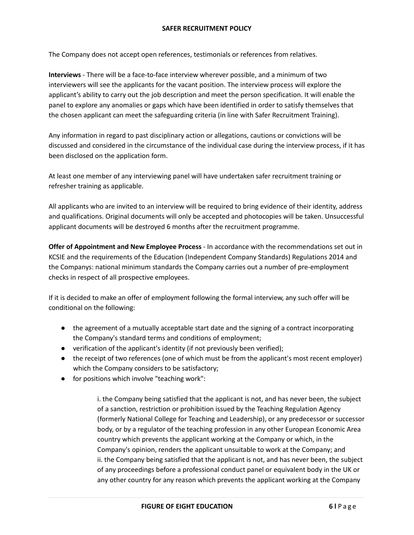The Company does not accept open references, testimonials or references from relatives.

**Interviews** - There will be a face-to-face interview wherever possible, and a minimum of two interviewers will see the applicants for the vacant position. The interview process will explore the applicant's ability to carry out the job description and meet the person specification. It will enable the panel to explore any anomalies or gaps which have been identified in order to satisfy themselves that the chosen applicant can meet the safeguarding criteria (in line with Safer Recruitment Training).

Any information in regard to past disciplinary action or allegations, cautions or convictions will be discussed and considered in the circumstance of the individual case during the interview process, if it has been disclosed on the application form.

At least one member of any interviewing panel will have undertaken safer recruitment training or refresher training as applicable.

All applicants who are invited to an interview will be required to bring evidence of their identity, address and qualifications. Original documents will only be accepted and photocopies will be taken. Unsuccessful applicant documents will be destroyed 6 months after the recruitment programme.

**Offer of Appointment and New Employee Process** - In accordance with the recommendations set out in KCSIE and the requirements of the Education (Independent Company Standards) Regulations 2014 and the Companys: national minimum standards the Company carries out a number of pre-employment checks in respect of all prospective employees.

If it is decided to make an offer of employment following the formal interview, any such offer will be conditional on the following:

- the agreement of a mutually acceptable start date and the signing of a contract incorporating the Company's standard terms and conditions of employment;
- verification of the applicant's identity (if not previously been verified);
- the receipt of two references (one of which must be from the applicant's most recent employer) which the Company considers to be satisfactory;
- for positions which involve "teaching work":

i. the Company being satisfied that the applicant is not, and has never been, the subject of a sanction, restriction or prohibition issued by the Teaching Regulation Agency (formerly National College for Teaching and Leadership), or any predecessor or successor body, or by a regulator of the teaching profession in any other European Economic Area country which prevents the applicant working at the Company or which, in the Company's opinion, renders the applicant unsuitable to work at the Company; and ii. the Company being satisfied that the applicant is not, and has never been, the subject of any proceedings before a professional conduct panel or equivalent body in the UK or any other country for any reason which prevents the applicant working at the Company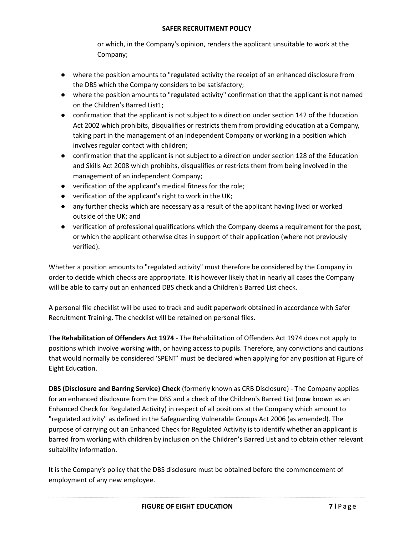or which, in the Company's opinion, renders the applicant unsuitable to work at the Company;

- where the position amounts to "regulated activity the receipt of an enhanced disclosure from the DBS which the Company considers to be satisfactory;
- where the position amounts to "regulated activity" confirmation that the applicant is not named on the Children's Barred List1;
- confirmation that the applicant is not subject to a direction under section 142 of the Education Act 2002 which prohibits, disqualifies or restricts them from providing education at a Company, taking part in the management of an independent Company or working in a position which involves regular contact with children;
- confirmation that the applicant is not subject to a direction under section 128 of the Education and Skills Act 2008 which prohibits, disqualifies or restricts them from being involved in the management of an independent Company;
- verification of the applicant's medical fitness for the role;
- verification of the applicant's right to work in the UK;
- any further checks which are necessary as a result of the applicant having lived or worked outside of the UK; and
- verification of professional qualifications which the Company deems a requirement for the post, or which the applicant otherwise cites in support of their application (where not previously verified).

Whether a position amounts to "regulated activity" must therefore be considered by the Company in order to decide which checks are appropriate. It is however likely that in nearly all cases the Company will be able to carry out an enhanced DBS check and a Children's Barred List check.

A personal file checklist will be used to track and audit paperwork obtained in accordance with Safer Recruitment Training. The checklist will be retained on personal files.

**The Rehabilitation of Offenders Act 1974** - The Rehabilitation of Offenders Act 1974 does not apply to positions which involve working with, or having access to pupils. Therefore, any convictions and cautions that would normally be considered 'SPENT' must be declared when applying for any position at Figure of Eight Education.

**DBS (Disclosure and Barring Service) Check** (formerly known as CRB Disclosure) - The Company applies for an enhanced disclosure from the DBS and a check of the Children's Barred List (now known as an Enhanced Check for Regulated Activity) in respect of all positions at the Company which amount to "regulated activity" as defined in the Safeguarding Vulnerable Groups Act 2006 (as amended). The purpose of carrying out an Enhanced Check for Regulated Activity is to identify whether an applicant is barred from working with children by inclusion on the Children's Barred List and to obtain other relevant suitability information.

It is the Company's policy that the DBS disclosure must be obtained before the commencement of employment of any new employee.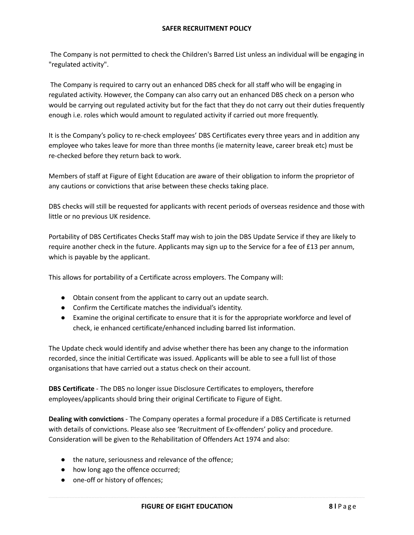The Company is not permitted to check the Children's Barred List unless an individual will be engaging in "regulated activity".

The Company is required to carry out an enhanced DBS check for all staff who will be engaging in regulated activity. However, the Company can also carry out an enhanced DBS check on a person who would be carrying out regulated activity but for the fact that they do not carry out their duties frequently enough i.e. roles which would amount to regulated activity if carried out more frequently.

It is the Company's policy to re-check employees' DBS Certificates every three years and in addition any employee who takes leave for more than three months (ie maternity leave, career break etc) must be re-checked before they return back to work.

Members of staff at Figure of Eight Education are aware of their obligation to inform the proprietor of any cautions or convictions that arise between these checks taking place.

DBS checks will still be requested for applicants with recent periods of overseas residence and those with little or no previous UK residence.

Portability of DBS Certificates Checks Staff may wish to join the DBS Update Service if they are likely to require another check in the future. Applicants may sign up to the Service for a fee of £13 per annum, which is payable by the applicant.

This allows for portability of a Certificate across employers. The Company will:

- Obtain consent from the applicant to carry out an update search.
- Confirm the Certificate matches the individual's identity.
- Examine the original certificate to ensure that it is for the appropriate workforce and level of check, ie enhanced certificate/enhanced including barred list information.

The Update check would identify and advise whether there has been any change to the information recorded, since the initial Certificate was issued. Applicants will be able to see a full list of those organisations that have carried out a status check on their account.

**DBS Certificate** - The DBS no longer issue Disclosure Certificates to employers, therefore employees/applicants should bring their original Certificate to Figure of Eight.

**Dealing with convictions** - The Company operates a formal procedure if a DBS Certificate is returned with details of convictions. Please also see 'Recruitment of Ex-offenders' policy and procedure. Consideration will be given to the Rehabilitation of Offenders Act 1974 and also:

- the nature, seriousness and relevance of the offence;
- how long ago the offence occurred;
- one-off or history of offences;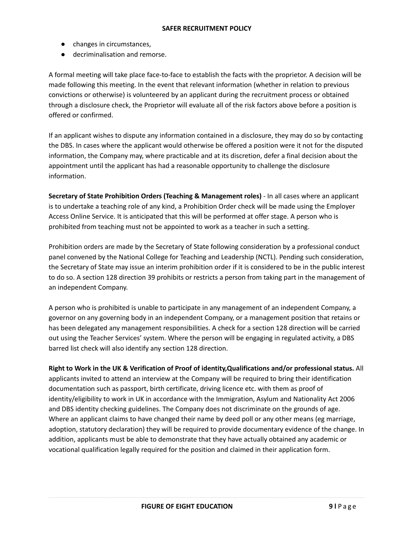- changes in circumstances,
- decriminalisation and remorse.

A formal meeting will take place face-to-face to establish the facts with the proprietor. A decision will be made following this meeting. In the event that relevant information (whether in relation to previous convictions or otherwise) is volunteered by an applicant during the recruitment process or obtained through a disclosure check, the Proprietor will evaluate all of the risk factors above before a position is offered or confirmed.

If an applicant wishes to dispute any information contained in a disclosure, they may do so by contacting the DBS. In cases where the applicant would otherwise be offered a position were it not for the disputed information, the Company may, where practicable and at its discretion, defer a final decision about the appointment until the applicant has had a reasonable opportunity to challenge the disclosure information.

**Secretary of State Prohibition Orders (Teaching & Management roles)** - In all cases where an applicant is to undertake a teaching role of any kind, a Prohibition Order check will be made using the Employer Access Online Service. It is anticipated that this will be performed at offer stage. A person who is prohibited from teaching must not be appointed to work as a teacher in such a setting.

Prohibition orders are made by the Secretary of State following consideration by a professional conduct panel convened by the National College for Teaching and Leadership (NCTL). Pending such consideration, the Secretary of State may issue an interim prohibition order if it is considered to be in the public interest to do so. A section 128 direction 39 prohibits or restricts a person from taking part in the management of an independent Company.

A person who is prohibited is unable to participate in any management of an independent Company, a governor on any governing body in an independent Company, or a management position that retains or has been delegated any management responsibilities. A check for a section 128 direction will be carried out using the Teacher Services' system. Where the person will be engaging in regulated activity, a DBS barred list check will also identify any section 128 direction.

**Right to Work in the UK & Verification of Proof of identity,Qualifications and/or professional status.** All applicants invited to attend an interview at the Company will be required to bring their identification documentation such as passport, birth certificate, driving licence etc. with them as proof of identity/eligibility to work in UK in accordance with the Immigration, Asylum and Nationality Act 2006 and DBS identity checking guidelines. The Company does not discriminate on the grounds of age. Where an applicant claims to have changed their name by deed poll or any other means (eg marriage, adoption, statutory declaration) they will be required to provide documentary evidence of the change. In addition, applicants must be able to demonstrate that they have actually obtained any academic or vocational qualification legally required for the position and claimed in their application form.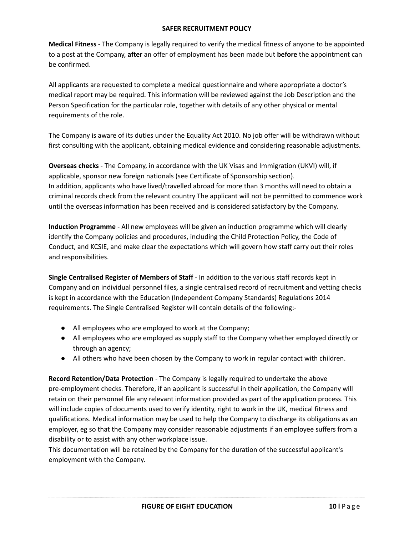**Medical Fitness** - The Company is legally required to verify the medical fitness of anyone to be appointed to a post at the Company, **after** an offer of employment has been made but **before** the appointment can be confirmed.

All applicants are requested to complete a medical questionnaire and where appropriate a doctor's medical report may be required. This information will be reviewed against the Job Description and the Person Specification for the particular role, together with details of any other physical or mental requirements of the role.

The Company is aware of its duties under the Equality Act 2010. No job offer will be withdrawn without first consulting with the applicant, obtaining medical evidence and considering reasonable adjustments.

**Overseas checks** - The Company, in accordance with the UK Visas and Immigration (UKVI) will, if applicable, sponsor new foreign nationals (see Certificate of Sponsorship section). In addition, applicants who have lived/travelled abroad for more than 3 months will need to obtain a criminal records check from the relevant country The applicant will not be permitted to commence work until the overseas information has been received and is considered satisfactory by the Company.

**Induction Programme** - All new employees will be given an induction programme which will clearly identify the Company policies and procedures, including the Child Protection Policy, the Code of Conduct, and KCSIE, and make clear the expectations which will govern how staff carry out their roles and responsibilities.

**Single Centralised Register of Members of Staff** - In addition to the various staff records kept in Company and on individual personnel files, a single centralised record of recruitment and vetting checks is kept in accordance with the Education (Independent Company Standards) Regulations 2014 requirements. The Single Centralised Register will contain details of the following:-

- All employees who are employed to work at the Company;
- All employees who are employed as supply staff to the Company whether employed directly or through an agency;
- All others who have been chosen by the Company to work in regular contact with children.

**Record Retention/Data Protection** - The Company is legally required to undertake the above pre-employment checks. Therefore, if an applicant is successful in their application, the Company will retain on their personnel file any relevant information provided as part of the application process. This will include copies of documents used to verify identity, right to work in the UK, medical fitness and qualifications. Medical information may be used to help the Company to discharge its obligations as an employer, eg so that the Company may consider reasonable adjustments if an employee suffers from a disability or to assist with any other workplace issue.

This documentation will be retained by the Company for the duration of the successful applicant's employment with the Company.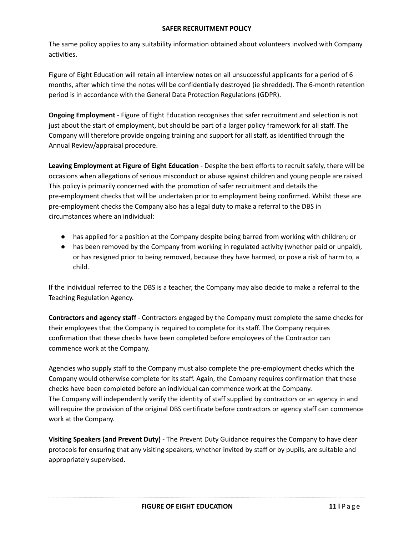The same policy applies to any suitability information obtained about volunteers involved with Company activities.

Figure of Eight Education will retain all interview notes on all unsuccessful applicants for a period of 6 months, after which time the notes will be confidentially destroyed (ie shredded). The 6-month retention period is in accordance with the General Data Protection Regulations (GDPR).

**Ongoing Employment** - Figure of Eight Education recognises that safer recruitment and selection is not just about the start of employment, but should be part of a larger policy framework for all staff. The Company will therefore provide ongoing training and support for all staff, as identified through the Annual Review/appraisal procedure.

**Leaving Employment at Figure of Eight Education** - Despite the best efforts to recruit safely, there will be occasions when allegations of serious misconduct or abuse against children and young people are raised. This policy is primarily concerned with the promotion of safer recruitment and details the pre-employment checks that will be undertaken prior to employment being confirmed. Whilst these are pre-employment checks the Company also has a legal duty to make a referral to the DBS in circumstances where an individual:

- has applied for a position at the Company despite being barred from working with children; or
- has been removed by the Company from working in regulated activity (whether paid or unpaid), or has resigned prior to being removed, because they have harmed, or pose a risk of harm to, a child.

If the individual referred to the DBS is a teacher, the Company may also decide to make a referral to the Teaching Regulation Agency.

**Contractors and agency staff** - Contractors engaged by the Company must complete the same checks for their employees that the Company is required to complete for its staff. The Company requires confirmation that these checks have been completed before employees of the Contractor can commence work at the Company.

Agencies who supply staff to the Company must also complete the pre-employment checks which the Company would otherwise complete for its staff. Again, the Company requires confirmation that these checks have been completed before an individual can commence work at the Company. The Company will independently verify the identity of staff supplied by contractors or an agency in and will require the provision of the original DBS certificate before contractors or agency staff can commence work at the Company.

**Visiting Speakers (and Prevent Duty)** - The Prevent Duty Guidance requires the Company to have clear protocols for ensuring that any visiting speakers, whether invited by staff or by pupils, are suitable and appropriately supervised.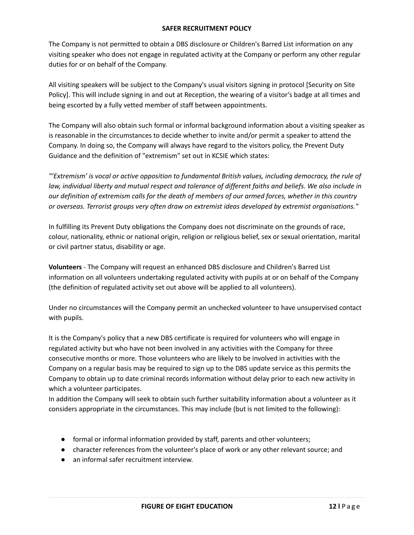The Company is not permitted to obtain a DBS disclosure or Children's Barred List information on any visiting speaker who does not engage in regulated activity at the Company or perform any other regular duties for or on behalf of the Company.

All visiting speakers will be subject to the Company's usual visitors signing in protocol [Security on Site Policy]. This will include signing in and out at Reception, the wearing of a visitor's badge at all times and being escorted by a fully vetted member of staff between appointments.

The Company will also obtain such formal or informal background information about a visiting speaker as is reasonable in the circumstances to decide whether to invite and/or permit a speaker to attend the Company. In doing so, the Company will always have regard to the visitors policy, the Prevent Duty Guidance and the definition of "extremism" set out in KCSIE which states:

*"'Extremism' is vocal or active opposition to fundamental British values, including democracy, the rule of* law, individual liberty and mutual respect and tolerance of different faiths and beliefs. We also include in our definition of extremism calls for the death of members of our armed forces, whether in this country *or overseas. Terrorist groups very often draw on extremist ideas developed by extremist organisations."*

In fulfilling its Prevent Duty obligations the Company does not discriminate on the grounds of race, colour, nationality, ethnic or national origin, religion or religious belief, sex or sexual orientation, marital or civil partner status, disability or age.

**Volunteers** - The Company will request an enhanced DBS disclosure and Children's Barred List information on all volunteers undertaking regulated activity with pupils at or on behalf of the Company (the definition of regulated activity set out above will be applied to all volunteers).

Under no circumstances will the Company permit an unchecked volunteer to have unsupervised contact with pupils.

It is the Company's policy that a new DBS certificate is required for volunteers who will engage in regulated activity but who have not been involved in any activities with the Company for three consecutive months or more. Those volunteers who are likely to be involved in activities with the Company on a regular basis may be required to sign up to the DBS update service as this permits the Company to obtain up to date criminal records information without delay prior to each new activity in which a volunteer participates.

In addition the Company will seek to obtain such further suitability information about a volunteer as it considers appropriate in the circumstances. This may include (but is not limited to the following):

- formal or informal information provided by staff, parents and other volunteers;
- character references from the volunteer's place of work or any other relevant source; and
- an informal safer recruitment interview.